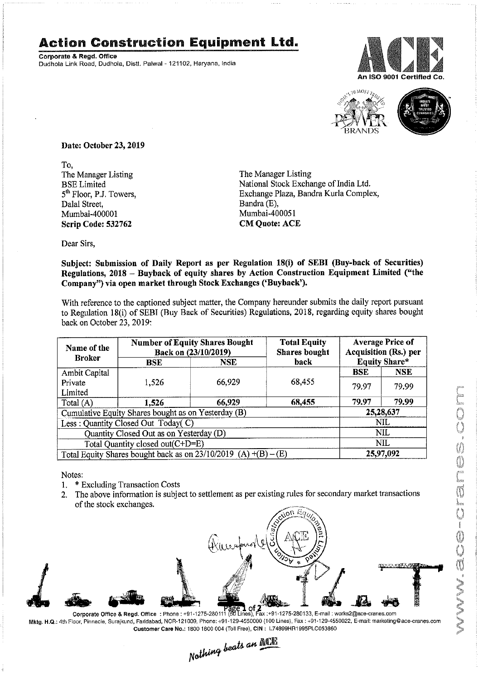## Action Construction Equipment Ltd.

Corporate & Regd. Office Dudhola Link Road, Dudhola, Distt. Palwal - 121102, Haryana, India





 $\beta$  back on October 23, 2019: With reference to the captioned subject matter, the Company hereunder submits the daily report pursuant **Example 16 Connect Figure 16 Connect Figure 16 Connect Figure 16 Connect Figure 16 Connect Particular Connect Figure 16 Connect Figure 16 Connect Figure 16 Connect Figure 16 Connect Figure 16 Connect Figure 16 Connect Fi** to Regulation 18(i) of SEBI (Buy Back of Securities) Regulations, 2018, regarding equity shares bought la, Distt. Palwal - 121102, Haryana, India<br>
3., 2019<br>
Simple The Mandra<br>
Exchang<br>
Bandra<br>
Mumba<br>
CM Que<br>
Sission of Daily Report as per Regulation<br>
18 – Buyback of equity shares by Action<br>
topen market through Stock Exchan

| rate & Regd. Office                                  | tion Construction Equipment Ltd.<br>la Link Road, Dudhola, Distt. Palwal - 121102, Haryana, India                                                                   |                                                                             |                                                                                                                                                                                                        |                | An ISO 9001 Certifie                                                                   |
|------------------------------------------------------|---------------------------------------------------------------------------------------------------------------------------------------------------------------------|-----------------------------------------------------------------------------|--------------------------------------------------------------------------------------------------------------------------------------------------------------------------------------------------------|----------------|----------------------------------------------------------------------------------------|
|                                                      |                                                                                                                                                                     |                                                                             |                                                                                                                                                                                                        |                |                                                                                        |
| Date: October 23, 2019                               |                                                                                                                                                                     |                                                                             |                                                                                                                                                                                                        |                |                                                                                        |
| To,<br><b>BSE</b> Limited                            | The Manager Listing<br>The Manager Listing<br>National Stock Exchange of India Ltd.<br>Exchange Plaza, Bandra Kurla Complex,<br>5 <sup>th</sup> Floor, P.J. Towers, |                                                                             |                                                                                                                                                                                                        |                |                                                                                        |
| Dalal Street,<br>Mumbai-400001<br>Scrip Code: 532762 |                                                                                                                                                                     | Bandra (E),<br>Mumbai-400051<br><b>CM Quote: ACE</b>                        |                                                                                                                                                                                                        |                |                                                                                        |
| Dear Sirs,                                           |                                                                                                                                                                     |                                                                             | Subject: Submission of Daily Report as per Regulation 18(i) of SEBI (Buy-back of Securities)                                                                                                           |                |                                                                                        |
|                                                      | Company") via open market through Stock Exchanges ('Buyback').                                                                                                      |                                                                             | Regulations, 2018 - Buyback of equity shares by Action Construction Equipment Limited ("the<br>With reference to the captioned subject matter, the Company hereunder submits the daily report pursuant |                |                                                                                        |
| back on October 23, 2019:                            |                                                                                                                                                                     |                                                                             | to Regulation 18(i) of SEBI (Buy Back of Securities) Regulations, 2018, regarding equity shares bought                                                                                                 |                |                                                                                        |
| Name of the<br><b>Broker</b>                         | <b>BSE</b>                                                                                                                                                          | <b>Number of Equity Shares Bought</b><br>Back on (23/10/2019)<br><b>NSE</b> | <b>Total Equity</b><br><b>Shares bought</b><br>back                                                                                                                                                    | <b>BSE</b>     | <b>Average Price of</b><br>Acquisition (Rs.) per<br><b>Equity Share*</b><br><b>NSE</b> |
| Ambit Capital<br>Private<br>Limited<br>Total (A)     | 1,526<br>1,526                                                                                                                                                      | 66,929<br>66,929                                                            | 68,455<br>68,455                                                                                                                                                                                       | 79.97<br>79.97 | 79.99<br>79.99                                                                         |
|                                                      | Cumulative Equity Shares bought as on Yesterday (B)<br>Less : Quantity Closed Out Today(C)<br>Quantity Closed Out as on Yesterday (D)                               |                                                                             |                                                                                                                                                                                                        |                | 25,28,637<br><b>NIL</b><br><b>NIL</b>                                                  |
|                                                      | Total Quantity closed out(C+D=E)<br>Total Equity Shares bought back as on $23/10/2019$ (A) $+(B) - (E)$                                                             |                                                                             |                                                                                                                                                                                                        |                | <b>NIL</b><br>25,97,092                                                                |
|                                                      |                                                                                                                                                                     |                                                                             |                                                                                                                                                                                                        |                |                                                                                        |
| Notes:<br>1.<br>2.                                   | * Excluding Transaction Costs<br>The above information is subject to settlement as per existing rules for secondary market transactions                             |                                                                             |                                                                                                                                                                                                        |                |                                                                                        |
| of the stock exchanges.                              |                                                                                                                                                                     |                                                                             | $A$ on Egy                                                                                                                                                                                             |                |                                                                                        |
|                                                      |                                                                                                                                                                     | Runopus                                                                     |                                                                                                                                                                                                        |                | せいひへんほんパ                                                                               |

- 1. \* Excluding Transaction Costs
- 2. The above information is subject to settlement as per existing rules for secondary market transactions of the stock exchanges.



Mktg. H.Q.: 4th Floor, Pinnacle, Surajkund, Faridabad, NCR-121009, Phone: +91-129-4550000 (100 Lines), Fax : +91-129-4550022, E-mail: marketing @ace-cranes.com

Customer Care No.: 1800 1800 004 (Toll Free), CIN: L74899HR1995PLC053860<br>Nathing beats an **Newlin**